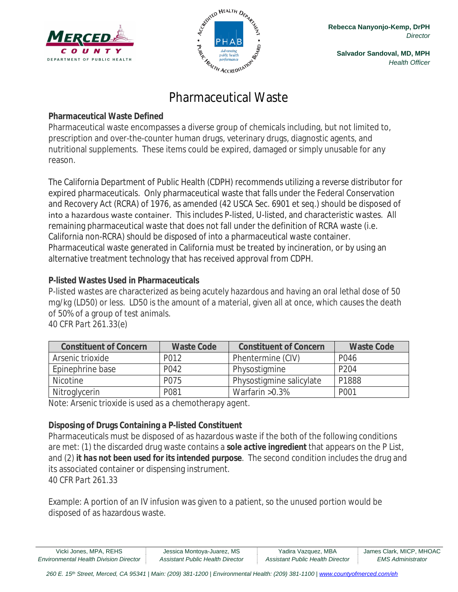



**Salvador Sandoval, MD, MPH** *Health Officer*

# Pharmaceutical Waste

## **Pharmaceutical Waste Defined**

Pharmaceutical waste encompasses a diverse group of chemicals including, but not limited to, prescription and over-the-counter human drugs, veterinary drugs, diagnostic agents, and nutritional supplements. These items could be expired, damaged or simply unusable for any reason.

The California Department of Public Health (CDPH) recommends utilizing a reverse distributor for expired pharmaceuticals. Only pharmaceutical waste that falls under the Federal Conservation and Recovery Act (RCRA) of 1976, as amended (42 USCA Sec. 6901 et seq.) should be disposed of into a hazardous waste container. This includes P-listed, U-listed, and characteristic wastes. All remaining pharmaceutical waste that does not fall under the definition of RCRA waste (i.e. California non-RCRA) should be disposed of into a pharmaceutical waste container. Pharmaceutical waste generated in California must be treated by incineration, or by using an alternative treatment technology that has received approval from CDPH.

## **P-listed Wastes Used in Pharmaceuticals**

P-listed wastes are characterized as being acutely hazardous and having an oral lethal dose of 50 mg/kg (LD50) or less. LD50 is the amount of a material, given all at once, which causes the death of 50% of a group of test animals.

| <b>Constituent of Concern</b> | <b>Waste Code</b> | <b>Constituent of Concern</b> | <b>Waste Code</b> |
|-------------------------------|-------------------|-------------------------------|-------------------|
| Arsenic trioxide              | P012              | Phentermine (CIV)             | P046              |
| Epinephrine base              | P042              | Physostigmine                 | P <sub>204</sub>  |
| <b>Nicotine</b>               | P075              | Physostigmine salicylate      | P1888             |
| Nitroglycerin                 | P081              | Warfarin $>0.3\%$             | P001              |

*40 CFR Part 261.33(e)*

*Note: Arsenic trioxide is used as a chemotherapy agent.*

# **Disposing of Drugs Containing a P-listed Constituent**

Pharmaceuticals must be disposed of as hazardous waste if the both of the following conditions are met: (1) the discarded drug waste contains a *sole active ingredient* that appears on the P List, and (2) *it has not been used for its intended purpose*. The second condition includes the drug and its associated container or dispensing instrument. *40 CFR Part 261.33*

Example: A portion of an IV infusion was given to a patient, so the unused portion would be disposed of as hazardous waste.

| Vicki Jones, MPA, REHS                        | Jessica Montoya-Juarez, MS       | Yadira Vazquez, MBA              | James Clark, MICP, MHOAC |
|-----------------------------------------------|----------------------------------|----------------------------------|--------------------------|
| <b>Environmental Health Division Director</b> | Assistant Public Health Director | Assistant Public Health Director | <b>EMS Administrator</b> |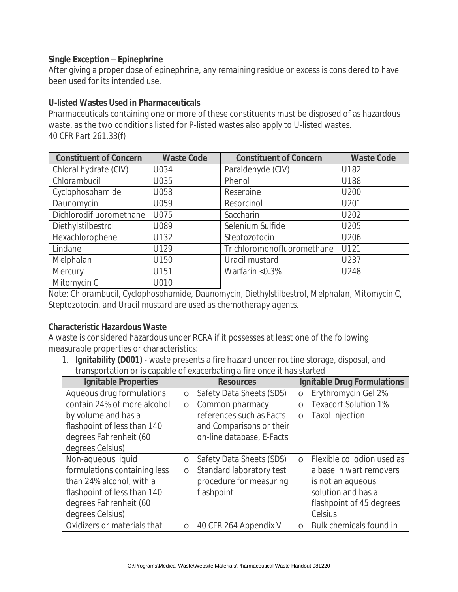#### **Single Exception – Epinephrine**

After giving a proper dose of epinephrine, any remaining residue or excess is considered to have been used for its intended use.

#### **U-listed Wastes Used in Pharmaceuticals**

Pharmaceuticals containing one or more of these constituents must be disposed of as hazardous waste, as the two conditions listed for P-listed wastes also apply to U-listed wastes. *40 CFR Part 261.33(f)*

| <b>Constituent of Concern</b> | <b>Waste Code</b> | <b>Constituent of Concern</b> | <b>Waste Code</b> |
|-------------------------------|-------------------|-------------------------------|-------------------|
| Chloral hydrate (CIV)         | U034              | Paraldehyde (CIV)             | U182              |
| Chlorambucil                  | U035              | Phenol                        | U188              |
| Cyclophosphamide              | U058              | Reserpine                     | U200              |
| Daunomycin                    | U059              | Resorcinol                    | U201              |
| Dichlorodifluoromethane       | U075              | Saccharin                     | U202              |
| Diethylstilbestrol            | U089              | Selenium Sulfide              | U205              |
| Hexachlorophene               | U132              | Steptozotocin                 | U206              |
| Lindane                       | U129              | Trichloromonofluoromethane    | U121              |
| Melphalan                     | U150              | Uracil mustard                | U237              |
| Mercury                       | U151              | Warfarin <0.3%                | U248              |
| Mitomycin C                   | U010              |                               |                   |

*Note: Chlorambucil, Cyclophosphamide, Daunomycin, Diethylstilbestrol, Melphalan, Mitomycin C, Steptozotocin, and Uracil mustard are used as chemotherapy agents.*

## **Characteristic Hazardous Waste**

A waste is considered hazardous under RCRA if it possesses at least one of the following measurable properties or characteristics:

1. **Ignitability (D001)** - waste presents a fire hazard under routine storage, disposal, and transportation or is capable of exacerbating a fire once it has started

| <b>Ignitable Properties</b>  |         | <b>Resources</b>          |            | <b>Ignitable Drug Formulations</b> |
|------------------------------|---------|---------------------------|------------|------------------------------------|
| Aqueous drug formulations    | $\circ$ | Safety Data Sheets (SDS)  | $\circ$    | Erythromycin Gel 2%                |
| contain 24% of more alcohol  | $\circ$ | Common pharmacy           | $\bigcirc$ | <b>Texacort Solution 1%</b>        |
| by volume and has a          |         | references such as Facts  | $\circ$    | <b>Taxol Injection</b>             |
| flashpoint of less than 140  |         | and Comparisons or their  |            |                                    |
| degrees Fahrenheit (60       |         | on-line database, E-Facts |            |                                    |
| degrees Celsius).            |         |                           |            |                                    |
| Non-aqueous liquid           | $\circ$ | Safety Data Sheets (SDS)  | $\Omega$   | Flexible collodion used as         |
| formulations containing less | $\circ$ | Standard laboratory test  |            | a base in wart removers            |
| than 24% alcohol, with a     |         | procedure for measuring   |            | is not an aqueous                  |
| flashpoint of less than 140  |         | flashpoint                |            | solution and has a                 |
| degrees Fahrenheit (60       |         |                           |            | flashpoint of 45 degrees           |
| degrees Celsius).            |         |                           |            | Celsius                            |
| Oxidizers or materials that  | $\circ$ | 40 CFR 264 Appendix V     | $\bigcap$  | Bulk chemicals found in            |